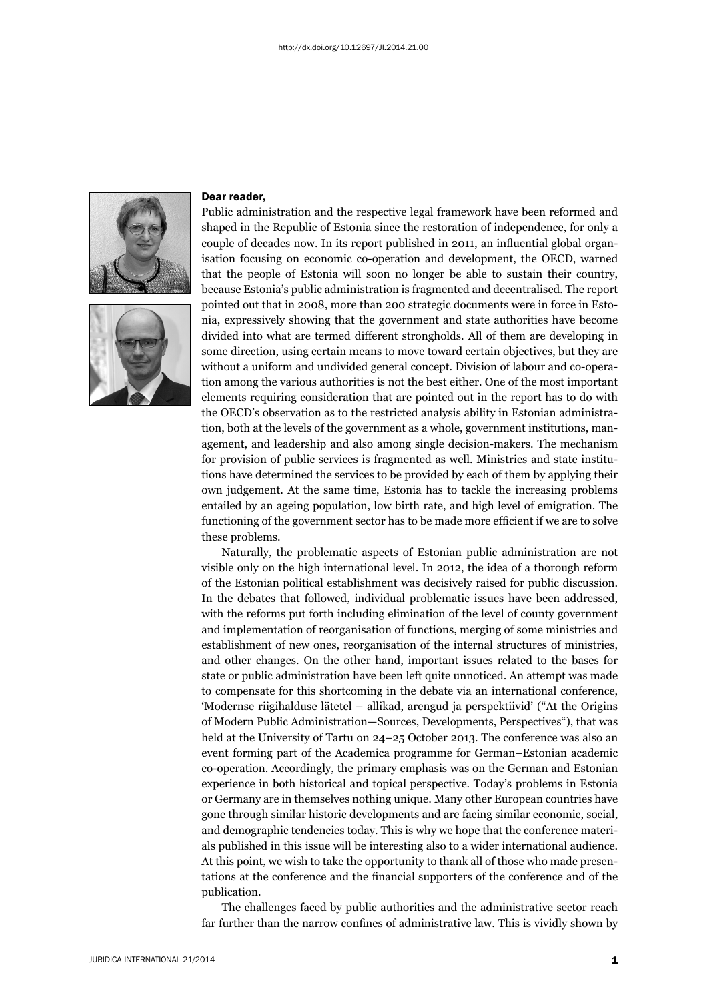



## Dear reader,

Public administration and the respective legal framework have been reformed and shaped in the Republic of Estonia since the restoration of independence, for only a couple of decades now. In its report published in 2011, an influential global organisation focusing on economic co-operation and development, the OECD, warned that the people of Estonia will soon no longer be able to sustain their country, because Estonia's public administration is fragmented and decentralised. The report pointed out that in 2008, more than 200 strategic documents were in force in Estonia, expressively showing that the government and state authorities have become divided into what are termed different strongholds. All of them are developing in some direction, using certain means to move toward certain objectives, but they are without a uniform and undivided general concept. Division of labour and co-operation among the various authorities is not the best either. One of the most important elements requiring consideration that are pointed out in the report has to do with the OECD's observation as to the restricted analysis ability in Estonian administration, both at the levels of the government as a whole, government institutions, management, and leadership and also among single decision-makers. The mechanism for provision of public services is fragmented as well. Ministries and state institutions have determined the services to be provided by each of them by applying their own judgement. At the same time, Estonia has to tackle the increasing problems entailed by an ageing population, low birth rate, and high level of emigration. The functioning of the government sector has to be made more efficient if we are to solve these problems.

Naturally, the problematic aspects of Estonian public administration are not visible only on the high international level. In 2012, the idea of a thorough reform of the Estonian political establishment was decisively raised for public discussion. In the debates that followed, individual problematic issues have been addressed, with the reforms put forth including elimination of the level of county government and implementation of reorganisation of functions, merging of some ministries and establishment of new ones, reorganisation of the internal structures of ministries, and other changes. On the other hand, important issues related to the bases for state or public administration have been left quite unnoticed. An attempt was made to compensate for this shortcoming in the debate via an international conference, 'Modernse riigihalduse lätetel – allikad, arengud ja perspektiivid' ("At the Origins of Modern Public Administration—Sources, Developments, Perspectives"), that was held at the University of Tartu on 24–25 October 2013. The conference was also an event forming part of the Academica programme for German–Estonian academic co-operation. Accordingly, the primary emphasis was on the German and Estonian experience in both historical and topical perspective. Today's problems in Estonia or Germany are in themselves nothing unique. Many other European countries have gone through similar historic developments and are facing similar economic, social, and demographic tendencies today. This is why we hope that the conference materials published in this issue will be interesting also to a wider international audience. At this point, we wish to take the opportunity to thank all of those who made presentations at the conference and the financial supporters of the conference and of the publication.

The challenges faced by public authorities and the administrative sector reach far further than the narrow confines of administrative law. This is vividly shown by